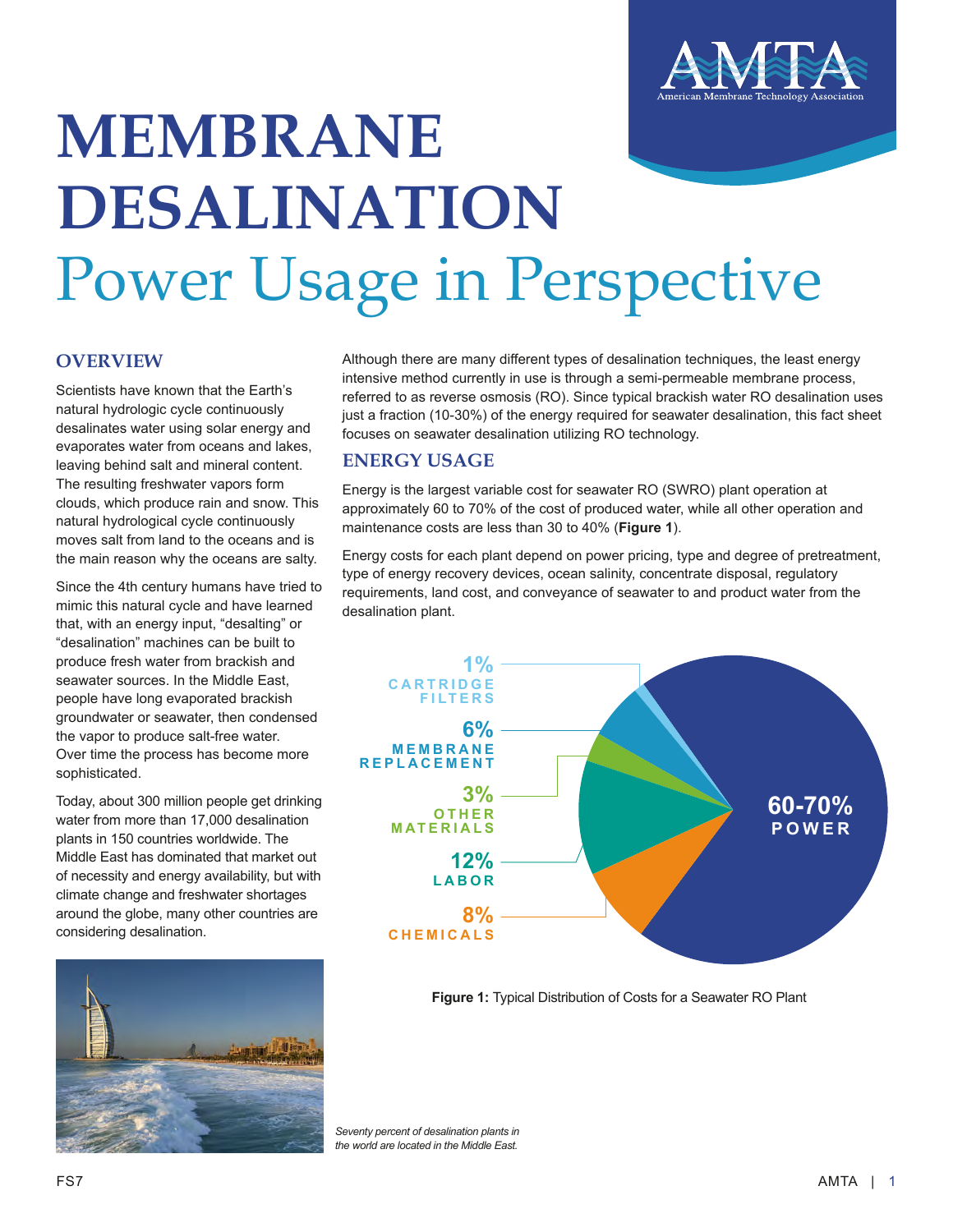

# **MEMBRANE DESALINATION** Power Usage in Perspective

## **OVERVIEW**

Scientists have known that the Earth's natural hydrologic cycle continuously desalinates water using solar energy and evaporates water from oceans and lakes, leaving behind salt and mineral content. The resulting freshwater vapors form clouds, which produce rain and snow. This natural hydrological cycle continuously moves salt from land to the oceans and is the main reason why the oceans are salty.

Since the 4th century humans have tried to mimic this natural cycle and have learned that, with an energy input, "desalting" or "desalination" machines can be built to produce fresh water from brackish and seawater sources. In the Middle East, people have long evaporated brackish groundwater or seawater, then condensed the vapor to produce salt-free water. Over time the process has become more sophisticated.

Today, about 300 million people get drinking water from more than 17,000 desalination plants in 150 countries worldwide. The Middle East has dominated that market out of necessity and energy availability, but with climate change and freshwater shortages around the globe, many other countries are considering desalination.



Although there are many different types of desalination techniques, the least energy intensive method currently in use is through a semi-permeable membrane process, referred to as reverse osmosis (RO). Since typical brackish water RO desalination uses just a fraction (10-30%) of the energy required for seawater desalination, this fact sheet focuses on seawater desalination utilizing RO technology.

# **ENERGY USAGE**

Energy is the largest variable cost for seawater RO (SWRO) plant operation at approximately 60 to 70% of the cost of produced water, while all other operation and maintenance costs are less than 30 to 40% (**Figure 1**).

Energy costs for each plant depend on power pricing, type and degree of pretreatment, type of energy recovery devices, ocean salinity, concentrate disposal, regulatory requirements, land cost, and conveyance of seawater to and product water from the desalination plant.



**Figure 1:** Typical Distribution of Costs for a Seawater RO Plant

*Seventy percent of desalination plants in the world are located in the Middle East.*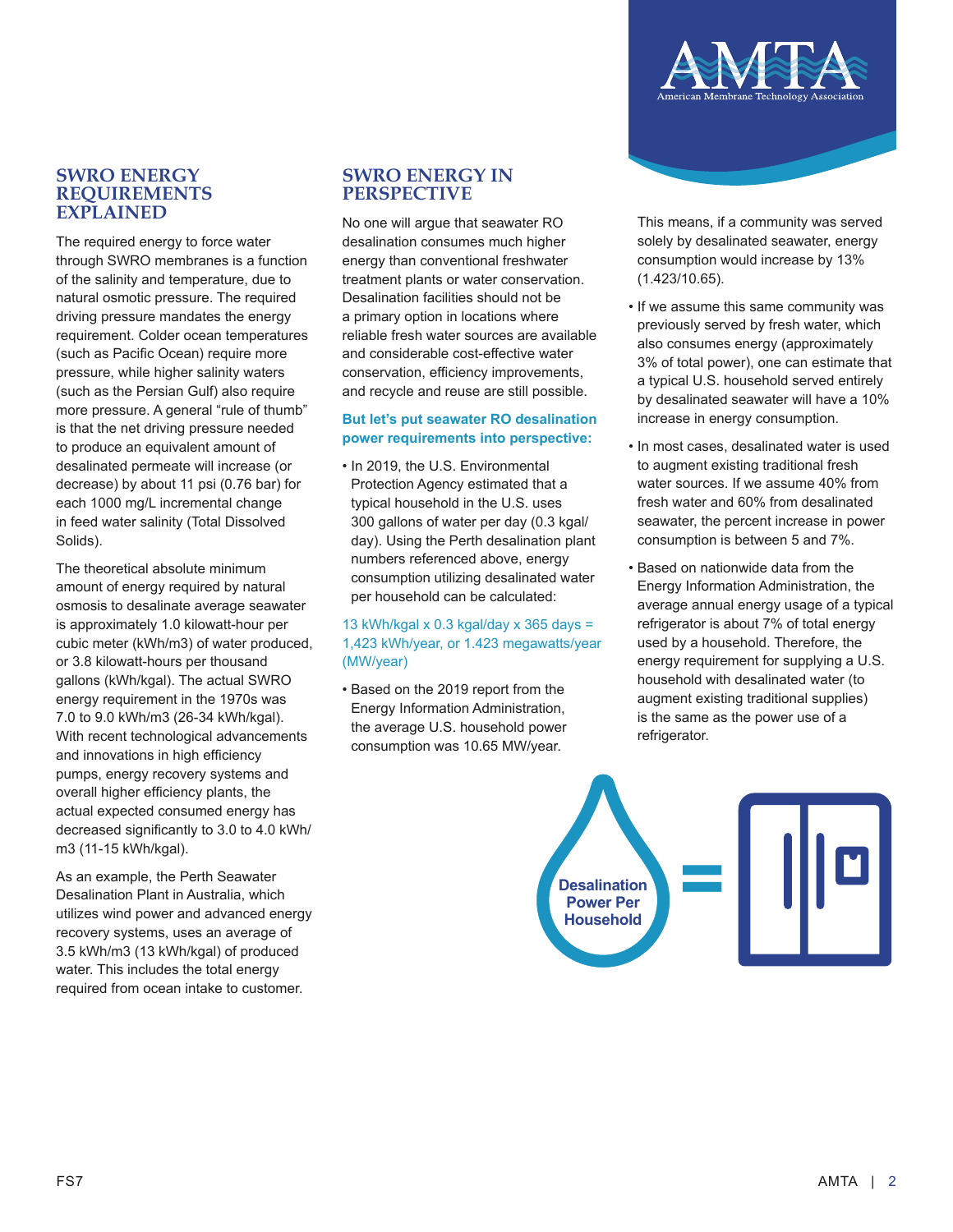### **SWRO ENERGY REQUIREMENTS EXPLAINED**

The required energy to force water through SWRO membranes is a function of the salinity and temperature, due to natural osmotic pressure. The required driving pressure mandates the energy requirement. Colder ocean temperatures (such as Pacific Ocean) require more pressure, while higher salinity waters (such as the Persian Gulf) also require more pressure. A general "rule of thumb" is that the net driving pressure needed to produce an equivalent amount of desalinated permeate will increase (or decrease) by about 11 psi (0.76 bar) for each 1000 mg/L incremental change in feed water salinity (Total Dissolved Solids).

The theoretical absolute minimum amount of energy required by natural osmosis to desalinate average seawater is approximately 1.0 kilowatt-hour per cubic meter (kWh/m3) of water produced, or 3.8 kilowatt-hours per thousand gallons (kWh/kgal). The actual SWRO energy requirement in the 1970s was 7.0 to 9.0 kWh/m3 (26-34 kWh/kgal). With recent technological advancements and innovations in high efficiency pumps, energy recovery systems and overall higher efficiency plants, the actual expected consumed energy has decreased significantly to 3.0 to 4.0 kWh/ m3 (11-15 kWh/kgal).

As an example, the Perth Seawater Desalination Plant in Australia, which utilizes wind power and advanced energy recovery systems, uses an average of 3.5 kWh/m3 (13 kWh/kgal) of produced water. This includes the total energy required from ocean intake to customer.

#### **SWRO ENERGY IN PERSPECTIVE**

No one will argue that seawater RO desalination consumes much higher energy than conventional freshwater treatment plants or water conservation. Desalination facilities should not be a primary option in locations where reliable fresh water sources are available and considerable cost-effective water conservation, efficiency improvements, and recycle and reuse are still possible.

#### **But let's put seawater RO desalination power requirements into perspective:**

• In 2019, the U.S. Environmental Protection Agency estimated that a typical household in the U.S. uses 300 gallons of water per day (0.3 kgal/ day). Using the Perth desalination plant numbers referenced above, energy consumption utilizing desalinated water per household can be calculated:

#### 13 kWh/kgal x 0.3 kgal/day x 365 days = 1,423 kWh/year, or 1.423 megawatts/year (MW/year)

• Based on the 2019 report from the Energy Information Administration, the average U.S. household power consumption was 10.65 MW/year.

This means, if a community was served solely by desalinated seawater, energy consumption would increase by 13% (1.423/10.65).

- If we assume this same community was previously served by fresh water, which also consumes energy (approximately 3% of total power), one can estimate that a typical U.S. household served entirely by desalinated seawater will have a 10% increase in energy consumption.
- In most cases, desalinated water is used to augment existing traditional fresh water sources. If we assume 40% from fresh water and 60% from desalinated seawater, the percent increase in power consumption is between 5 and 7%.
- Based on nationwide data from the Energy Information Administration, the average annual energy usage of a typical refrigerator is about 7% of total energy used by a household. Therefore, the energy requirement for supplying a U.S. household with desalinated water (to augment existing traditional supplies) is the same as the power use of a refrigerator.